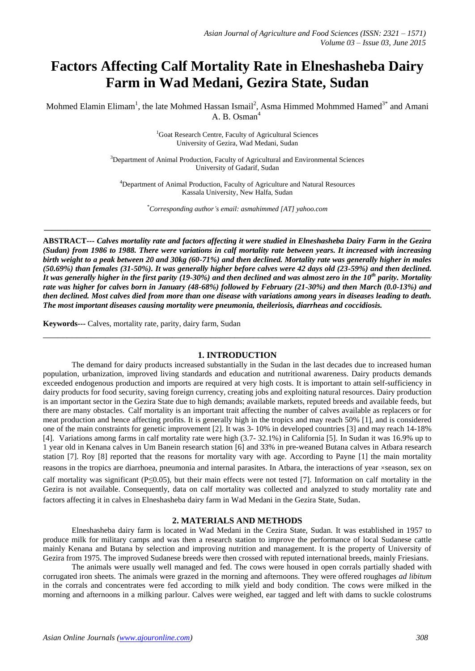# **Factors Affecting Calf Mortality Rate in Elneshasheba Dairy Farm in Wad Medani, Gezira State, Sudan**

Mohmed Elamin Elimam<sup>1</sup>, the late Mohmed Hassan Ismail<sup>2</sup>, Asma Himmed Mohmmed Hamed<sup>3\*</sup> and Amani A. B. Osman $<sup>4</sup>$ </sup>

> <sup>1</sup>Goat Research Centre, Faculty of Agricultural Sciences University of Gezira, Wad Medani, Sudan

<sup>3</sup>Department of Animal Production, Faculty of Agricultural and Environmental Sciences University of Gadarif, Sudan

<sup>4</sup>Department of Animal Production, Faculty of Agriculture and Natural Resources Kassala University, New Halfa, Sudan

*\*Corresponding author's email: asmahimmed [AT] yahoo.com*

**\_\_\_\_\_\_\_\_\_\_\_\_\_\_\_\_\_\_\_\_\_\_\_\_\_\_\_\_\_\_\_\_\_\_\_\_\_\_\_\_\_\_\_\_\_\_\_\_\_\_\_\_\_\_\_\_\_\_\_\_\_\_\_\_\_\_\_\_\_\_\_\_\_\_\_\_\_\_\_\_\_\_\_\_\_\_\_\_\_\_\_\_\_\_\_\_\_**

**ABSTRACT---** *Calves mortality rate and factors affecting it were studied in Elneshasheba Dairy Farm in the Gezira (Sudan) from 1986 to 1988. There were variations in calf mortality rate between years. It increased with increasing birth weight to a peak between 20 and 30kg (60-71%) and then declined. Mortality rate was generally higher in males (50.69%) than females (31-50%). It was generally higher before calves were 42 days old (23-59%) and then declined. It was generally higher in the first parity (19-30%) and then declined and was almost zero in the 10th parity. Mortality rate was higher for calves born in January (48-68%) followed by February (21-30%) and then March (0.0-13%) and then declined. Most calves died from more than one disease with variations among years in diseases leading to death. The most important diseases causing mortality were pneumonia, theileriosis, diarrheas and coccidiosis.* 

**Keywords---** Calves, mortality rate, parity, dairy farm, Sudan

## **1. INTRODUCTION**

\_\_\_\_\_\_\_\_\_\_\_\_\_\_\_\_\_\_\_\_\_\_\_\_\_\_\_\_\_\_\_\_\_\_\_\_\_\_\_\_\_\_\_\_\_\_\_\_\_\_\_\_\_\_\_\_\_\_\_\_\_\_\_\_\_\_\_\_\_\_\_\_\_\_\_\_\_\_\_\_\_

The demand for dairy products increased substantially in the Sudan in the last decades due to increased human population, urbanization, improved living standards and education and nutritional awareness. Dairy products demands exceeded endogenous production and imports are required at very high costs. It is important to attain self-sufficiency in dairy products for food security, saving foreign currency, creating jobs and exploiting natural resources. Dairy production is an important sector in the Gezira State due to high demands; available markets, reputed breeds and available feeds, but there are many obstacles. Calf mortality is an important trait affecting the number of calves available as replacers or for meat production and hence affecting profits. It is generally high in the tropics and may reach 50% [1], and is considered one of the main constraints for genetic improvement [2]. It was 3- 10% in developed countries [3] and may reach 14-18% [4]. Variations among farms in calf mortality rate were high (3.7- 32.1%) in California [5]. In Sudan it was 16.9% up to 1 year old in Kenana calves in Um Banein research station [6] and 33% in pre-weaned Butana calves in Atbara research station [7]. Roy [8] reported that the reasons for mortality vary with age. According to Payne [1] the main mortality reasons in the tropics are diarrhoea, pneumonia and internal parasites. In Atbara, the interactions of year ×season, sex on

calf mortality was significant (P≤0.05), but their main effects were not tested [7]. Information on calf mortality in the Gezira is not available. Consequently, data on calf mortality was collected and analyzed to study mortality rate and factors affecting it in calves in Elneshasheba dairy farm in Wad Medani in the Gezira State, Sudan.

## **2. MATERIALS AND METHODS**

Elneshasheba dairy farm is located in Wad Medani in the Cezira State, Sudan. It was established in 1957 to produce milk for military camps and was then a research station to improve the performance of local Sudanese cattle mainly Kenana and Butana by selection and improving nutrition and management. It is the property of University of Gezira from 1975. The improved Sudanese breeds were then crossed with reputed international breeds, mainly Friesians.

The animals were usually well managed and fed. The cows were housed in open corrals partially shaded with corrugated iron sheets. The animals were grazed in the morning and afternoons. They were offered roughages *ad libitum* in the corrals and concentrates were fed according to milk yield and body condition. The cows were milked in the morning and afternoons in a milking parlour. Calves were weighed, ear tagged and left with dams to suckle colostrums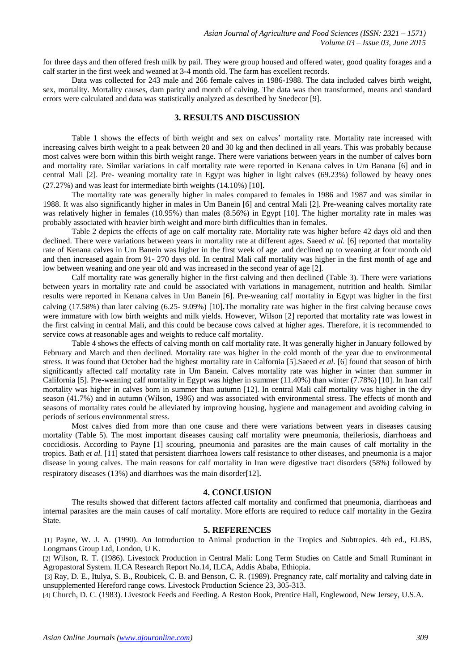for three days and then offered fresh milk by pail. They were group housed and offered water, good quality forages and a calf starter in the first week and weaned at 3-4 month old. The farm has excellent records.

Data was collected for 243 male and 266 female calves in 1986-1988. The data included calves birth weight, sex, mortality. Mortality causes, dam parity and month of calving. The data was then transformed, means and standard errors were calculated and data was statistically analyzed as described by Snedecor [9].

## **3. RESULTS AND DISCUSSION**

Table 1 shows the effects of birth weight and sex on calves' mortality rate. Mortality rate increased with increasing calves birth weight to a peak between 20 and 30 kg and then declined in all years. This was probably because most calves were born within this birth weight range. There were variations between years in the number of calves born and mortality rate. Similar variations in calf mortality rate were reported in Kenana calves in Um Banana [6] and in central Mali [2]. Pre- weaning mortality rate in Egypt was higher in light calves (69.23%) followed by heavy ones (27.27%) and was least for intermediate birth weights (14.10%) [10].

The mortality rate was generally higher in males compared to females in 1986 and 1987 and was similar in 1988. It was also significantly higher in males in Um Banein [6] and central Mali [2]. Pre-weaning calves mortality rate was relatively higher in females (10.95%) than males (8.56%) in Egypt [10]. The higher mortality rate in males was probably associated with heavier birth weight and more birth difficulties than in females.

Table 2 depicts the effects of age on calf mortality rate. Mortality rate was higher before 42 days old and then declined. There were variations between years in mortality rate at different ages. Saeed *et al.* [6] reported that mortality rate of Kenana calves in Um Banein was higher in the first week of age and declined up to weaning at four month old and then increased again from 91- 270 days old. In central Mali calf mortality was higher in the first month of age and low between weaning and one year old and was increased in the second year of age [2].

Calf mortality rate was generally higher in the first calving and then declined (Table 3). There were variations between years in mortality rate and could be associated with variations in management, nutrition and health. Similar results were reported in Kenana calves in Um Banein [6]. Pre-weaning calf mortality in Egypt was higher in the first calving (17.58%) than later calving (6.25- 9.09%) [10].The mortality rate was higher in the first calving because cows were immature with low birth weights and milk yields. However, Wilson [2] reported that mortality rate was lowest in the first calving in central Mali, and this could be because cows calved at higher ages. Therefore, it is recommended to service cows at reasonable ages and weights to reduce calf mortality.

Table 4 shows the effects of calving month on calf mortality rate. It was generally higher in January followed by February and March and then declined. Mortality rate was higher in the cold month of the year due to environmental stress. It was found that October had the highest mortality rate in Calfornia [5].Saeed *et al.* [6] found that season of birth significantly affected calf mortality rate in Um Banein. Calves mortality rate was higher in winter than summer in California [5]. Pre-weaning calf mortality in Egypt was higher in summer (11.40%) than winter (7.78%) [10]. In Iran calf mortality was higher in calves born in summer than autumn [12]. In central Mali calf mortality was higher in the dry season (41.7%) and in autumn (Wilson, 1986) and was associated with environmental stress. The effects of month and seasons of mortality rates could be alleviated by improving housing, hygiene and management and avoiding calving in periods of serious environmental stress.

Most calves died from more than one cause and there were variations between years in diseases causing mortality (Table 5). The most important diseases causing calf mortality were pneumonia, theileriosis, diarrhoeas and coccidiosis. According to Payne [1] scouring, pneumonia and parasites are the main causes of calf mortality in the tropics. Bath *et al.* [11] stated that persistent diarrhoea lowers calf resistance to other diseases, and pneumonia is a major disease in young calves. The main reasons for calf mortality in Iran were digestive tract disorders (58%) followed by respiratory diseases (13%) and diarrhoes was the main disorder[12].

## **4. CONCLUSION**

The results showed that different factors affected calf mortality and confirmed that pneumonia, diarrhoeas and internal parasites are the main causes of calf mortality. More efforts are required to reduce calf mortality in the Gezira State.

#### **5. REFERENCES**

[1] Payne, W. J. A. (1990). An Introduction to Animal production in the Tropics and Subtropics. 4th ed., ELBS, Longmans Group Ltd, London, U K.

[2] Wilson, R. T. (1986). Livestock Production in Central Mali: Long Term Studies on Cattle and Small Ruminant in Agropastoral System. ILCA Research Report No.14, ILCA, Addis Ababa, Ethiopia.

[3] Ray, D. E., Itulya, S. B., Roubicek, C. B. and Benson, C. R. (1989). Pregnancy rate, calf mortality and calving date in unsupplemented Hereford range cows. Livestock Production Science 23, 305-313.

[4] Church, D. C. (1983). Livestock Feeds and Feeding. A Reston Book, Prentice Hall, Englewood, New Jersey, U.S.A.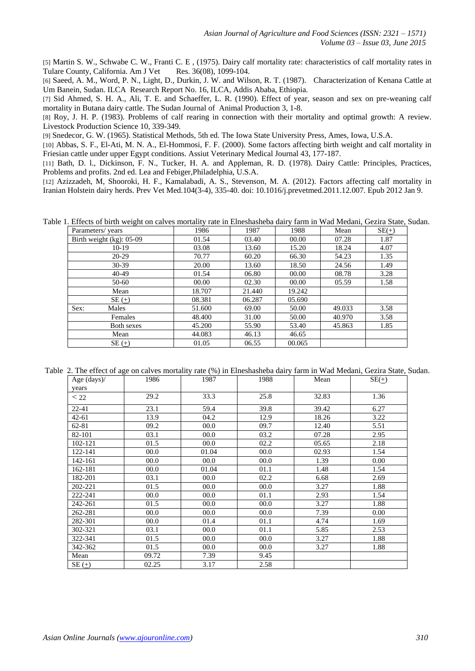[5] [Martin S. W.](http://www.ncbi.nlm.nih.gov/pubmed?term=Martin%20SW%5BAuthor%5D&cauthor=true&cauthor_uid=1155830), [Schwabe C. W.](http://www.ncbi.nlm.nih.gov/pubmed?term=Schwabe%20CW%5BAuthor%5D&cauthor=true&cauthor_uid=1155830), [Franti C. E](http://www.ncbi.nlm.nih.gov/pubmed?term=Franti%20CE%5BAuthor%5D&cauthor=true&cauthor_uid=1155830) , (1975). Dairy calf mortality rate: characteristics of calf mortality rates in Tulare County, California[. Am J Vet Res.](http://www.ncbi.nlm.nih.gov/pubmed/1155830) 36(08), 1099-104.

[6] Saeed, A. M., Word, P. N., Light, D., Durkin, J. W. and Wilson, R. T. (1987). Characterization of Kenana Cattle at Um Banein, Sudan. ILCA Research Report No. 16, ILCA, Addis Ababa, Ethiopia.

[7] Sid Ahmed, S. H. A., Ali, T. E. and Schaeffer, L. R. (1990). Effect of year, season and sex on pre-weaning calf mortality in Butana dairy cattle. The Sudan Journal of Animal Production 3, 1-8.

[8] Roy, J. H. P. (1983). Problems of calf rearing in connection with their mortality and optimal growth: A review. Livestock Production Science 10, 339-349.

[9] Snedecor, G. W. (1965). Statistical Methods, 5th ed. The Iowa State University Press, Ames, Iowa, U.S.A.

[10] [Abbas, S. F.,](http://www.cabdirect.org/search.html?q=au%3A%22Abbas%2C+S.+F.%22) [El-Ati, M. N. A.,](http://www.cabdirect.org/search.html?q=au%3A%22El-Ati%2C+M.+N.+A.%22) [El-Hommosi, F. F.](http://www.cabdirect.org/search.html?q=au%3A%22El-Hommosi%2C+F.+F.%22) (2000). Some factors affecting birth weight and calf mortality in Friesian cattle under upper Egypt conditions. Assiut [Veterinary Medical Journal](http://www.cabdirect.org/search.html?q=do%3A%22Assiut+Veterinary+Medical+Journal%22) 43, 177-187.

[11] Bath, D. l., Dickinson, F. N., Tucker, H. A. and Appleman, R. D. (1978). Dairy Cattle: Principles, Practices, Problems and profits. 2nd ed. Lea and Febiger,Philadelphia, U.S.A.

[12] [Azizzadeh, M,](http://www.ncbi.nlm.nih.gov/pubmed?term=Azizzadeh%20M%5BAuthor%5D&cauthor=true&cauthor_uid=22230657) [Shooroki, H. F.](http://www.ncbi.nlm.nih.gov/pubmed?term=Shooroki%20HF%5BAuthor%5D&cauthor=true&cauthor_uid=22230657), [Kamalabadi, A. S.](http://www.ncbi.nlm.nih.gov/pubmed?term=Kamalabadi%20AS%5BAuthor%5D&cauthor=true&cauthor_uid=22230657), [Stevenson, M. A.](http://www.ncbi.nlm.nih.gov/pubmed?term=Stevenson%20MA%5BAuthor%5D&cauthor=true&cauthor_uid=22230657) (2012). Factors affecting calf mortality in Iranian Holstein dairy herds. P[rev Vet Med.1](http://www.ncbi.nlm.nih.gov/pubmed/22230657)04(3-4), 335-40. doi: 10.1016/j.prevetmed.2011.12.007. Epub 2012 Jan 9.

Table 1. Effects of birth weight on calves mortality rate in Elneshasheba dairy farm in Wad Medani, Gezira State, Sudan.

| Parameters/years         | 1986   | 1987   | 1988   | Mean   | $SE(+)$ |
|--------------------------|--------|--------|--------|--------|---------|
| Birth weight (kg): 05-09 | 01.54  | 03.40  | 00.00  | 07.28  | 1.87    |
| $10-19$                  | 03.08  | 13.60  | 15.20  | 18.24  | 4.07    |
| $20-29$                  | 70.77  | 60.20  | 66.30  | 54.23  | 1.35    |
| $30-39$                  | 20.00  | 13.60  | 18.50  | 24.56  | 1.49    |
| 40-49                    | 01.54  | 06.80  | 00.00  | 08.78  | 3.28    |
| 50-60                    | 00.00  | 02.30  | 00.00  | 05.59  | 1.58    |
| Mean                     | 18.707 | 21.440 | 19.242 |        |         |
| $SE(+)$                  | 08.381 | 06.287 | 05.690 |        |         |
| Sex:<br>Males            | 51.600 | 69.00  | 50.00  | 49.033 | 3.58    |
| Females                  | 48.400 | 31.00  | 50.00  | 40.970 | 3.58    |
| Both sexes               | 45.200 | 55.90  | 53.40  | 45.863 | 1.85    |
| Mean                     | 44.083 | 46.13  | 46.65  |        |         |
| $SE(\pm)$                | 01.05  | 06.55  | 00.065 |        |         |

Table 2. The effect of age on calves mortality rate (%) in Elneshasheba dairy farm in Wad Medani, Gezira State, Sudan.

| Age $(days)$<br>years | 1986  | 1987  | 1988 | Mean  | $SE(\pm)$ |
|-----------------------|-------|-------|------|-------|-----------|
| $<$ 22                | 29.2  | 33.3  | 25.8 | 32.83 | 1.36      |
| $22 - 41$             | 23.1  | 59.4  | 39.8 | 39.42 | 6.27      |
| $42 - 61$             | 13.9  | 04.2  | 12.9 | 18.26 | 3.22      |
| $62 - 81$             | 09.2  | 00.0  | 09.7 | 12.40 | 5.51      |
| 82-101                | 03.1  | 00.0  | 03.2 | 07.28 | 2.95      |
| 102-121               | 01.5  | 00.0  | 02.2 | 05.65 | 2.18      |
| 122-141               | 00.0  | 01.04 | 00.0 | 02.93 | 1.54      |
| 142-161               | 00.0  | 00.0  | 00.0 | 1.39  | 0.00      |
| 162-181               | 00.0  | 01.04 | 01.1 | 1.48  | 1.54      |
| 182-201               | 03.1  | 00.0  | 02.2 | 6.68  | 2.69      |
| 202-221               | 01.5  | 00.0  | 00.0 | 3.27  | 1.88      |
| 222-241               | 00.0  | 00.0  | 01.1 | 2.93  | 1.54      |
| 242-261               | 01.5  | 00.0  | 00.0 | 3.27  | 1.88      |
| 262-281               | 00.0  | 00.0  | 00.0 | 7.39  | 0.00      |
| 282-301               | 00.0  | 01.4  | 01.1 | 4.74  | 1.69      |
| 302-321               | 03.1  | 00.0  | 01.1 | 5.85  | 2.53      |
| 322-341               | 01.5  | 00.0  | 00.0 | 3.27  | 1.88      |
| 342-362               | 01.5  | 00.0  | 00.0 | 3.27  | 1.88      |
| Mean                  | 09.72 | 7.39  | 9.45 |       |           |
| $SE(\pm)$             | 02.25 | 3.17  | 2.58 |       |           |